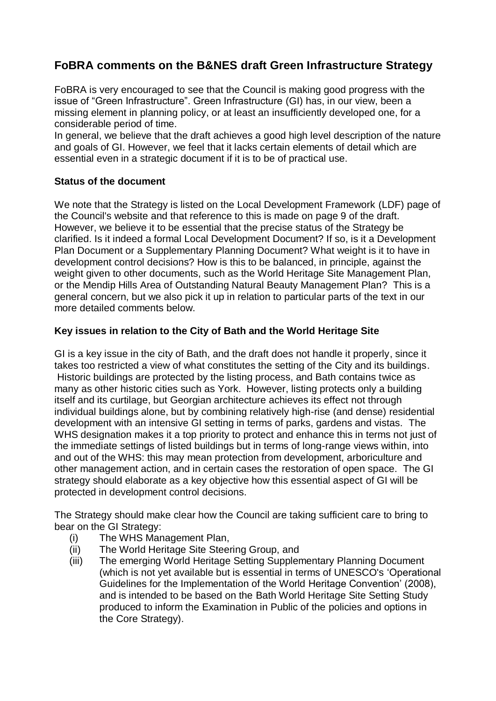# **FoBRA comments on the B&NES draft Green Infrastructure Strategy**

FoBRA is very encouraged to see that the Council is making good progress with the issue of "Green Infrastructure". Green Infrastructure (GI) has, in our view, been a missing element in planning policy, or at least an insufficiently developed one, for a considerable period of time.

In general, we believe that the draft achieves a good high level description of the nature and goals of GI. However, we feel that it lacks certain elements of detail which are essential even in a strategic document if it is to be of practical use.

# **Status of the document**

We note that the Strategy is listed on the Local Development Framework (LDF) page of the Council's website and that reference to this is made on page 9 of the draft. However, we believe it to be essential that the precise status of the Strategy be clarified. Is it indeed a formal Local Development Document? If so, is it a Development Plan Document or a Supplementary Planning Document? What weight is it to have in development control decisions? How is this to be balanced, in principle, against the weight given to other documents, such as the World Heritage Site Management Plan, or the Mendip Hills Area of Outstanding Natural Beauty Management Plan? This is a general concern, but we also pick it up in relation to particular parts of the text in our more detailed comments below.

# **Key issues in relation to the City of Bath and the World Heritage Site**

GI is a key issue in the city of Bath, and the draft does not handle it properly, since it takes too restricted a view of what constitutes the setting of the City and its buildings. Historic buildings are protected by the listing process, and Bath contains twice as many as other historic cities such as York. However, listing protects only a building itself and its curtilage, but Georgian architecture achieves its effect not through individual buildings alone, but by combining relatively high-rise (and dense) residential development with an intensive GI setting in terms of parks, gardens and vistas. The WHS designation makes it a top priority to protect and enhance this in terms not just of the immediate settings of listed buildings but in terms of long-range views within, into and out of the WHS: this may mean protection from development, arboriculture and other management action, and in certain cases the restoration of open space. The GI strategy should elaborate as a key objective how this essential aspect of GI will be protected in development control decisions.

The Strategy should make clear how the Council are taking sufficient care to bring to bear on the GI Strategy:

- (i) The WHS Management Plan,
- (ii) The World Heritage Site Steering Group, and
- (iii) The emerging World Heritage Setting Supplementary Planning Document (which is not yet available but is essential in terms of UNESCO's 'Operational Guidelines for the Implementation of the World Heritage Convention' (2008), and is intended to be based on the Bath World Heritage Site Setting Study produced to inform the Examination in Public of the policies and options in the Core Strategy).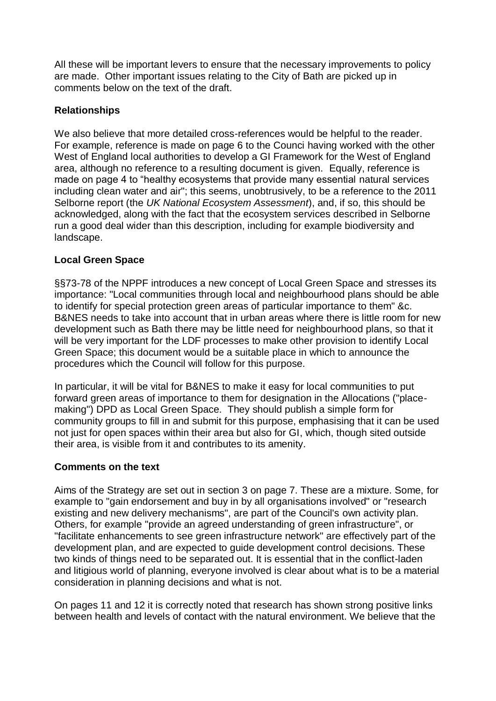All these will be important levers to ensure that the necessary improvements to policy are made. Other important issues relating to the City of Bath are picked up in comments below on the text of the draft.

### **Relationships**

We also believe that more detailed cross-references would be helpful to the reader. For example, reference is made on page 6 to the Counci having worked with the other West of England local authorities to develop a GI Framework for the West of England area, although no reference to a resulting document is given. Equally, reference is made on page 4 to "healthy ecosystems that provide many essential natural services including clean water and air"; this seems, unobtrusively, to be a reference to the 2011 Selborne report (the *UK National Ecosystem Assessment*), and, if so, this should be acknowledged, along with the fact that the ecosystem services described in Selborne run a good deal wider than this description, including for example biodiversity and landscape.

# **Local Green Space**

§§73-78 of the NPPF introduces a new concept of Local Green Space and stresses its importance: "Local communities through local and neighbourhood plans should be able to identify for special protection green areas of particular importance to them" &c. B&NES needs to take into account that in urban areas where there is little room for new development such as Bath there may be little need for neighbourhood plans, so that it will be very important for the LDF processes to make other provision to identify Local Green Space; this document would be a suitable place in which to announce the procedures which the Council will follow for this purpose.

In particular, it will be vital for B&NES to make it easy for local communities to put forward green areas of importance to them for designation in the Allocations ("placemaking") DPD as Local Green Space. They should publish a simple form for community groups to fill in and submit for this purpose, emphasising that it can be used not just for open spaces within their area but also for GI, which, though sited outside their area, is visible from it and contributes to its amenity.

#### **Comments on the text**

Aims of the Strategy are set out in section 3 on page 7. These are a mixture. Some, for example to "gain endorsement and buy in by all organisations involved" or "research existing and new delivery mechanisms", are part of the Council's own activity plan. Others, for example "provide an agreed understanding of green infrastructure", or "facilitate enhancements to see green infrastructure network" are effectively part of the development plan, and are expected to guide development control decisions. These two kinds of things need to be separated out. It is essential that in the conflict-laden and litigious world of planning, everyone involved is clear about what is to be a material consideration in planning decisions and what is not.

On pages 11 and 12 it is correctly noted that research has shown strong positive links between health and levels of contact with the natural environment. We believe that the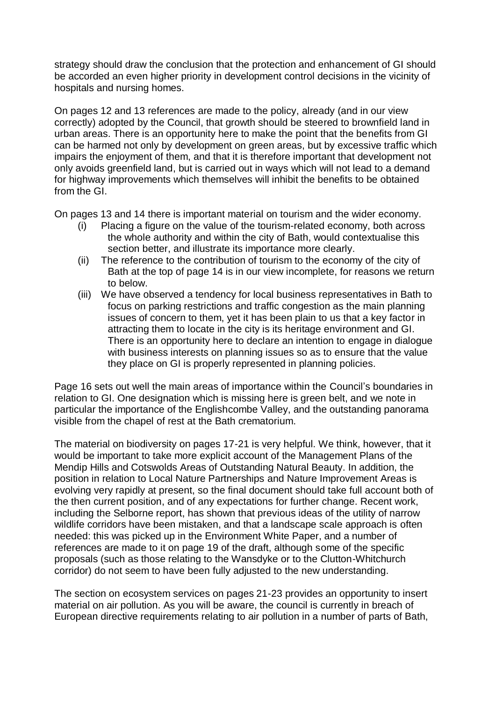strategy should draw the conclusion that the protection and enhancement of GI should be accorded an even higher priority in development control decisions in the vicinity of hospitals and nursing homes.

On pages 12 and 13 references are made to the policy, already (and in our view correctly) adopted by the Council, that growth should be steered to brownfield land in urban areas. There is an opportunity here to make the point that the benefits from GI can be harmed not only by development on green areas, but by excessive traffic which impairs the enjoyment of them, and that it is therefore important that development not only avoids greenfield land, but is carried out in ways which will not lead to a demand for highway improvements which themselves will inhibit the benefits to be obtained from the GI.

On pages 13 and 14 there is important material on tourism and the wider economy.

- (i) Placing a figure on the value of the tourism-related economy, both across the whole authority and within the city of Bath, would contextualise this section better, and illustrate its importance more clearly.
- (ii) The reference to the contribution of tourism to the economy of the city of Bath at the top of page 14 is in our view incomplete, for reasons we return to below.
- (iii) We have observed a tendency for local business representatives in Bath to focus on parking restrictions and traffic congestion as the main planning issues of concern to them, yet it has been plain to us that a key factor in attracting them to locate in the city is its heritage environment and GI. There is an opportunity here to declare an intention to engage in dialogue with business interests on planning issues so as to ensure that the value they place on GI is properly represented in planning policies.

Page 16 sets out well the main areas of importance within the Council's boundaries in relation to GI. One designation which is missing here is green belt, and we note in particular the importance of the Englishcombe Valley, and the outstanding panorama visible from the chapel of rest at the Bath crematorium.

The material on biodiversity on pages 17-21 is very helpful. We think, however, that it would be important to take more explicit account of the Management Plans of the Mendip Hills and Cotswolds Areas of Outstanding Natural Beauty. In addition, the position in relation to Local Nature Partnerships and Nature Improvement Areas is evolving very rapidly at present, so the final document should take full account both of the then current position, and of any expectations for further change. Recent work, including the Selborne report, has shown that previous ideas of the utility of narrow wildlife corridors have been mistaken, and that a landscape scale approach is often needed: this was picked up in the Environment White Paper, and a number of references are made to it on page 19 of the draft, although some of the specific proposals (such as those relating to the Wansdyke or to the Clutton-Whitchurch corridor) do not seem to have been fully adjusted to the new understanding.

The section on ecosystem services on pages 21-23 provides an opportunity to insert material on air pollution. As you will be aware, the council is currently in breach of European directive requirements relating to air pollution in a number of parts of Bath,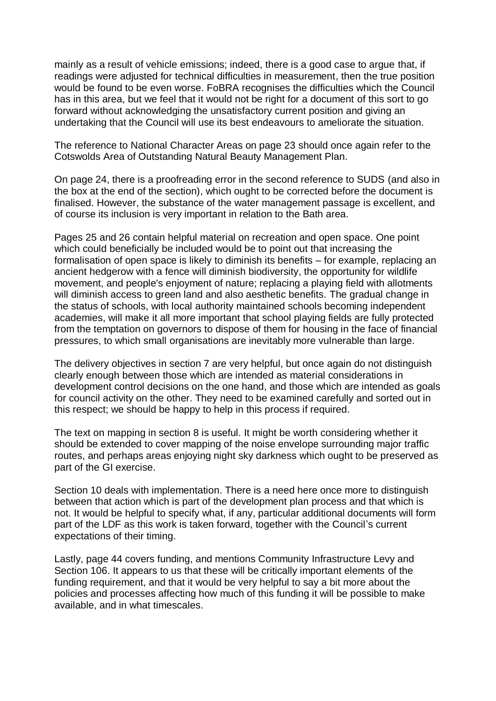mainly as a result of vehicle emissions; indeed, there is a good case to argue that, if readings were adjusted for technical difficulties in measurement, then the true position would be found to be even worse. FoBRA recognises the difficulties which the Council has in this area, but we feel that it would not be right for a document of this sort to go forward without acknowledging the unsatisfactory current position and giving an undertaking that the Council will use its best endeavours to ameliorate the situation.

The reference to National Character Areas on page 23 should once again refer to the Cotswolds Area of Outstanding Natural Beauty Management Plan.

On page 24, there is a proofreading error in the second reference to SUDS (and also in the box at the end of the section), which ought to be corrected before the document is finalised. However, the substance of the water management passage is excellent, and of course its inclusion is very important in relation to the Bath area.

Pages 25 and 26 contain helpful material on recreation and open space. One point which could beneficially be included would be to point out that increasing the formalisation of open space is likely to diminish its benefits – for example, replacing an ancient hedgerow with a fence will diminish biodiversity, the opportunity for wildlife movement, and people's enjoyment of nature; replacing a playing field with allotments will diminish access to green land and also aesthetic benefits. The gradual change in the status of schools, with local authority maintained schools becoming independent academies, will make it all more important that school playing fields are fully protected from the temptation on governors to dispose of them for housing in the face of financial pressures, to which small organisations are inevitably more vulnerable than large.

The delivery objectives in section 7 are very helpful, but once again do not distinguish clearly enough between those which are intended as material considerations in development control decisions on the one hand, and those which are intended as goals for council activity on the other. They need to be examined carefully and sorted out in this respect; we should be happy to help in this process if required.

The text on mapping in section 8 is useful. It might be worth considering whether it should be extended to cover mapping of the noise envelope surrounding major traffic routes, and perhaps areas enjoying night sky darkness which ought to be preserved as part of the GI exercise.

Section 10 deals with implementation. There is a need here once more to distinguish between that action which is part of the development plan process and that which is not. It would be helpful to specify what, if any, particular additional documents will form part of the LDF as this work is taken forward, together with the Council's current expectations of their timing.

Lastly, page 44 covers funding, and mentions Community Infrastructure Levy and Section 106. It appears to us that these will be critically important elements of the funding requirement, and that it would be very helpful to say a bit more about the policies and processes affecting how much of this funding it will be possible to make available, and in what timescales.